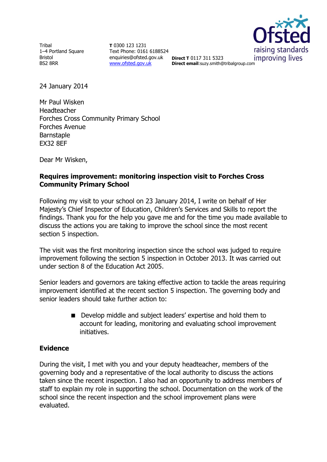Tribal 1–4 Portland Square Bristol BS2 8RR

**T** 0300 123 1231 Text Phone: 0161 6188524 enquiries@ofsted.gov.uk **Direct T** 0117 311 5323 [www.ofsted.gov.uk](http://www.ofsted.gov.uk/)



**Direct email**:suzy.smith@tribalgroup.com

24 January 2014

Mr Paul Wisken Headteacher Forches Cross Community Primary School Forches Avenue Barnstaple EX32 8EF

Dear Mr Wisken,

### **Requires improvement: monitoring inspection visit to Forches Cross Community Primary School**

Following my visit to your school on 23 January 2014, I write on behalf of Her Majesty's Chief Inspector of Education, Children's Services and Skills to report the findings. Thank you for the help you gave me and for the time you made available to discuss the actions you are taking to improve the school since the most recent section 5 inspection.

The visit was the first monitoring inspection since the school was judged to require improvement following the section 5 inspection in October 2013. It was carried out under section 8 of the Education Act 2005.

Senior leaders and governors are taking effective action to tackle the areas requiring improvement identified at the recent section 5 inspection. The governing body and senior leaders should take further action to:

> Develop middle and subject leaders' expertise and hold them to account for leading, monitoring and evaluating school improvement initiatives.

### **Evidence**

During the visit, I met with you and your deputy headteacher, members of the governing body and a representative of the local authority to discuss the actions taken since the recent inspection. I also had an opportunity to address members of staff to explain my role in supporting the school. Documentation on the work of the school since the recent inspection and the school improvement plans were evaluated.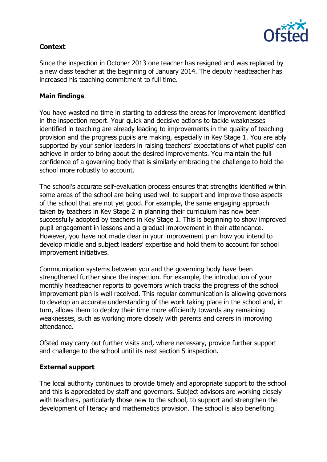

# **Context**

Since the inspection in October 2013 one teacher has resigned and was replaced by a new class teacher at the beginning of January 2014. The deputy headteacher has increased his teaching commitment to full time.

## **Main findings**

You have wasted no time in starting to address the areas for improvement identified in the inspection report. Your quick and decisive actions to tackle weaknesses identified in teaching are already leading to improvements in the quality of teaching provision and the progress pupils are making, especially in Key Stage 1. You are ably supported by your senior leaders in raising teachers' expectations of what pupils' can achieve in order to bring about the desired improvements. You maintain the full confidence of a governing body that is similarly embracing the challenge to hold the school more robustly to account.

The school's accurate self-evaluation process ensures that strengths identified within some areas of the school are being used well to support and improve those aspects of the school that are not yet good. For example, the same engaging approach taken by teachers in Key Stage 2 in planning their curriculum has now been successfully adopted by teachers in Key Stage 1. This is beginning to show improved pupil engagement in lessons and a gradual improvement in their attendance. However, you have not made clear in your improvement plan how you intend to develop middle and subject leaders' expertise and hold them to account for school improvement initiatives.

Communication systems between you and the governing body have been strengthened further since the inspection. For example, the introduction of your monthly headteacher reports to governors which tracks the progress of the school improvement plan is well received. This regular communication is allowing governors to develop an accurate understanding of the work taking place in the school and, in turn, allows them to deploy their time more efficiently towards any remaining weaknesses, such as working more closely with parents and carers in improving attendance.

Ofsted may carry out further visits and, where necessary, provide further support and challenge to the school until its next section 5 inspection.

### **External support**

The local authority continues to provide timely and appropriate support to the school and this is appreciated by staff and governors. Subject advisors are working closely with teachers, particularly those new to the school, to support and strengthen the development of literacy and mathematics provision. The school is also benefiting